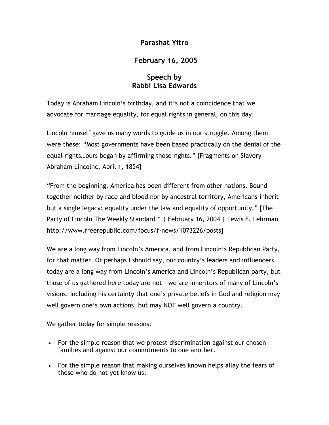## **Parashat Yitro**

## **February 16, 2005**

## **Speech by Rabbi Lisa Edwards**

Today is Abraham Lincoln's birthday, and it's not a coincidence that we advocate for marriage equality, for equal rights in general, on this day.

Lincoln himself gave us many words to guide us in our struggle. Among them were these: "Most governments have been based practically on the denial of the equal rights…ours began by affirming those rights." [Fragments on Slavery Abraham Lincolnc. April 1, 1854]

"From the beginning, America has been different from other nations. Bound together neither by race and blood nor by ancestral territory, Americans inherit but a single legacy: equality under the law and equality of opportunity." [The Party of Lincoln The Weekly Standard ^ | February 16, 2004 | Lewis E. Lehrman http://www.freerepublic.com/focus/f-news/1073226/posts]

We are a long way from Lincoln's America, and from Lincoln's Republican Party, for that matter. Or perhaps I should say, our country's leaders and influencers today are a long way from Lincoln's America and Lincoln's Republican party, but those of us gathered here today are not – we are inheritors of many of Lincoln's visions, including his certainty that one's private beliefs in God and religion may well govern one's own actions, but may NOT well govern a country.

We gather today for simple reasons:

- For the simple reason that we protest discrimination against our chosen families and against our commitments to one another.
- For the simple reason that making ourselves known helps allay the fears of those who do not yet know us.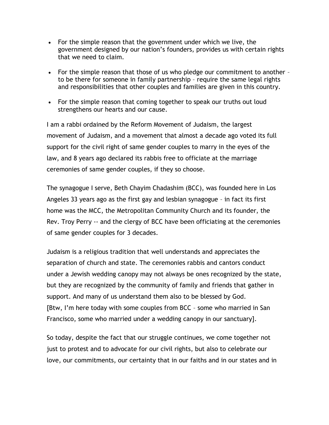- For the simple reason that the government under which we live, the government designed by our nation's founders, provides us with certain rights that we need to claim.
- For the simple reason that those of us who pledge our commitment to another to be there for someone in family partnership – require the same legal rights and responsibilities that other couples and families are given in this country.
- For the simple reason that coming together to speak our truths out loud strengthens our hearts and our cause.

I am a rabbi ordained by the Reform Movement of Judaism, the largest movement of Judaism, and a movement that almost a decade ago voted its full support for the civil right of same gender couples to marry in the eyes of the law, and 8 years ago declared its rabbis free to officiate at the marriage ceremonies of same gender couples, if they so choose.

The synagogue I serve, Beth Chayim Chadashim (BCC), was founded here in Los Angeles 33 years ago as the first gay and lesbian synagogue – in fact its first home was the MCC, the Metropolitan Community Church and its founder, the Rev. Troy Perry -- and the clergy of BCC have been officiating at the ceremonies of same gender couples for 3 decades.

Judaism is a religious tradition that well understands and appreciates the separation of church and state. The ceremonies rabbis and cantors conduct under a Jewish wedding canopy may not always be ones recognized by the state, but they are recognized by the community of family and friends that gather in support. And many of us understand them also to be blessed by God. [Btw, I'm here today with some couples from BCC – some who married in San Francisco, some who married under a wedding canopy in our sanctuary].

So today, despite the fact that our struggle continues, we come together not just to protest and to advocate for our civil rights, but also to celebrate our love, our commitments, our certainty that in our faiths and in our states and in